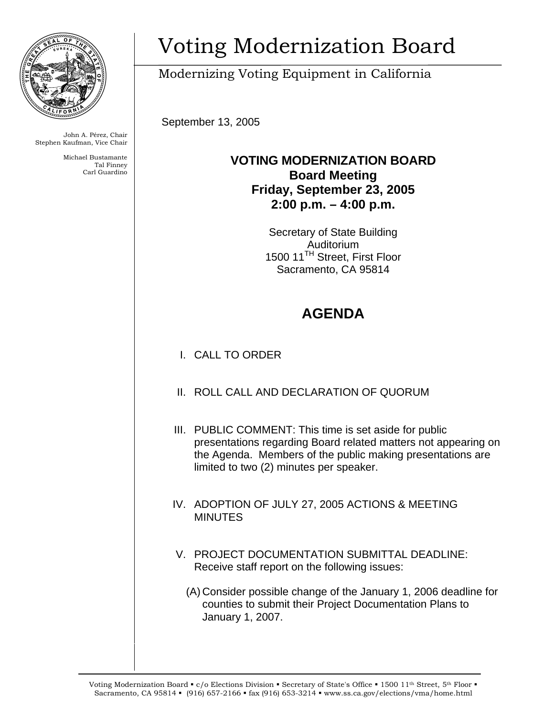

John A. Pérez, Chair Stephen Kaufman, Vice Chair

> Michael Bustamante Tal Finney Carl Guardino

# Voting Modernization Board

Modernizing Voting Equipment in California

September 13, 2005

### **VOTING MODERNIZATION BOARD Board Meeting Friday, September 23, 2005 2:00 p.m. – 4:00 p.m.**

Secretary of State Building Auditorium 1500 11<sup>TH</sup> Street, First Floor Sacramento, CA 95814

## **AGENDA**

- I. CALL TO ORDER
- II. ROLL CALL AND DECLARATION OF QUORUM
- III. PUBLIC COMMENT: This time is set aside for public presentations regarding Board related matters not appearing on the Agenda. Members of the public making presentations are limited to two (2) minutes per speaker.
- IV. ADOPTION OF JULY 27, 2005 ACTIONS & MEETING **MINUTES**
- V. PROJECT DOCUMENTATION SUBMITTAL DEADLINE: Receive staff report on the following issues:
	- (A) Consider possible change of the January 1, 2006 deadline for counties to submit their Project Documentation Plans to January 1, 2007.